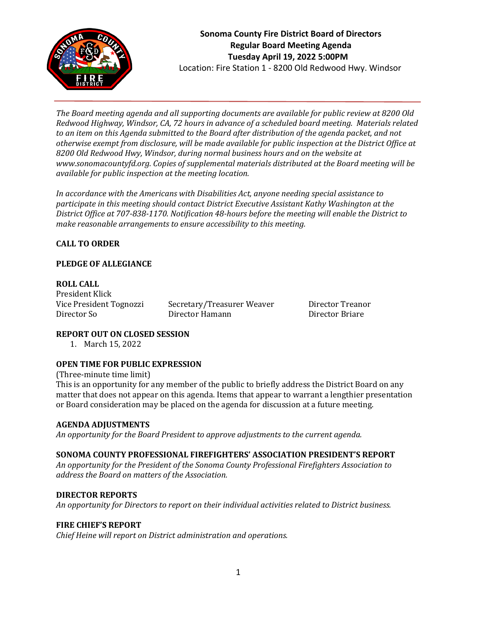

*The Board meeting agenda and all supporting documents are available for public review at 8200 Old Redwood Highway, Windsor, CA, 72 hours in advance of a scheduled board meeting. Materials related to an item on this Agenda submitted to the Board after distribution of the agenda packet, and not otherwise exempt from disclosure, will be made available for public inspection at the District Office at 8200 Old Redwood Hwy, Windsor, during normal business hours and on the website at www.sonomacountyfd.org. Copies of supplemental materials distributed at the Board meeting will be available for public inspection at the meeting location.*

*In accordance with the Americans with Disabilities Act, anyone needing special assistance to participate in this meeting should contact District Executive Assistant Kathy Washington at the District Office at 707-838-1170. Notification 48-hours before the meeting will enable the District to make reasonable arrangements to ensure accessibility to this meeting.*

# **CALL TO ORDER**

#### **PLEDGE OF ALLEGIANCE**

**ROLL CALL** President Klick

Vice President Tognozzi Secretary/Treasurer Weaver Director Treanor Director So Director Hamann Director Briare

## **REPORT OUT ON CLOSED SESSION**

1. March 15, 2022

## **OPEN TIME FOR PUBLIC EXPRESSION**

(Three-minute time limit) This is an opportunity for any member of the public to briefly address the District Board on any matter that does not appear on this agenda. Items that appear to warrant a lengthier presentation or Board consideration may be placed on the agenda for discussion at a future meeting.

#### **AGENDA ADJUSTMENTS**

*An opportunity for the Board President to approve adjustments to the current agenda.*

#### **SONOMA COUNTY PROFESSIONAL FIREFIGHTERS' ASSOCIATION PRESIDENT'S REPORT**

*An opportunity for the President of the Sonoma County Professional Firefighters Association to address the Board on matters of the Association.*

#### **DIRECTOR REPORTS**

*An opportunity for Directors to report on their individual activities related to District business.*

#### **FIRE CHIEF'S REPORT**

*Chief Heine will report on District administration and operations.*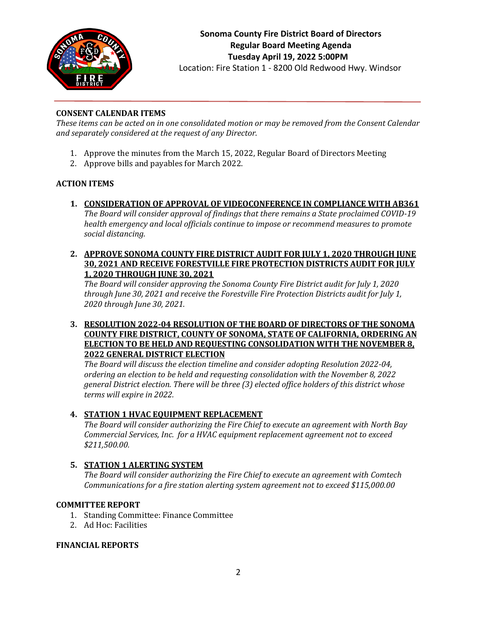

# **Sonoma County Fire District Board of Directors Regular Board Meeting Agenda Tuesday April 19, 2022 5:00PM**

Location: Fire Station 1 - 8200 Old Redwood Hwy. Windsor

## **CONSENT CALENDAR ITEMS**

*These items can be acted on in one consolidated motion or may be removed from the Consent Calendar and separately considered at the request of any Director.*

- 1. Approve the minutes from the March 15, 2022, Regular Board of Directors Meeting
- 2. Approve bills and payables for March 2022.

## **ACTION ITEMS**

- **1. CONSIDERATION OF APPROVAL OF VIDEOCONFERENCE IN COMPLIANCE WITH AB361** *The Board will consider approval of findings that there remains a State proclaimed COVID-19 health emergency and local officials continue to impose or recommend measures to promote social distancing.*
- **2. APPROVE SONOMA COUNTY FIRE DISTRICT AUDIT FOR JULY 1, 2020 THROUGH JUNE 30, 2021 AND RECEIVE FORESTVILLE FIRE PROTECTION DISTRICTS AUDIT FOR JULY 1, 2020 THROUGH JUNE 30, 2021**

*The Board will consider approving the Sonoma County Fire District audit for July 1, 2020 through June 30, 2021 and receive the Forestville Fire Protection Districts audit for July 1, 2020 through June 30, 2021.*

**3. RESOLUTION 2022-04 RESOLUTION OF THE BOARD OF DIRECTORS OF THE SONOMA COUNTY FIRE DISTRICT, COUNTY OF SONOMA, STATE OF CALIFORNIA, ORDERING AN ELECTION TO BE HELD AND REQUESTING CONSOLIDATION WITH THE NOVEMBER 8, 2022 GENERAL DISTRICT ELECTION**

*The Board will discuss the election timeline and consider adopting Resolution 2022-04, ordering an election to be held and requesting consolidation with the November 8, 2022 general District election. There will be three (3) elected office holders of this district whose terms will expire in 2022.*

# **4. STATION 1 HVAC EQUIPMENT REPLACEMENT**

*The Board will consider authorizing the Fire Chief to execute an agreement with North Bay Commercial Services, Inc. for a HVAC equipment replacement agreement not to exceed \$211,500.00.*

# **5. STATION 1 ALERTING SYSTEM**

*The Board will consider authorizing the Fire Chief to execute an agreement with Comtech Communications for a fire station alerting system agreement not to exceed \$115,000.00*

## **COMMITTEE REPORT**

- 1. Standing Committee: Finance Committee
- 2. Ad Hoc: Facilities

#### **FINANCIAL REPORTS**